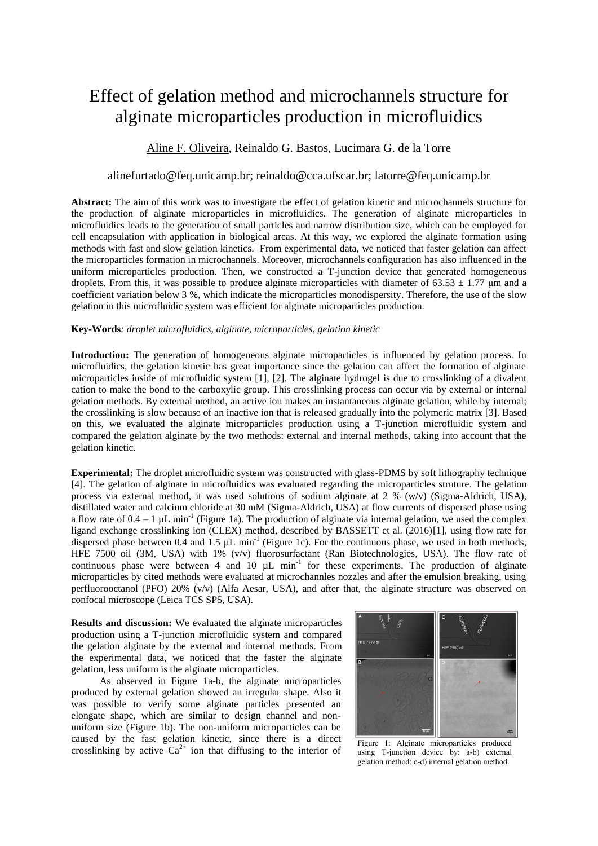# Effect of gelation method and microchannels structure for alginate microparticles production in microfluidics

## Aline F. Oliveira, Reinaldo G. Bastos, Lucimara G. de la Torre

## alinefurtado@feq.unicamp.br; reinaldo@cca.ufscar.br; latorre@feq.unicamp.br

**Abstract:** The aim of this work was to investigate the effect of gelation kinetic and microchannels structure for the production of alginate microparticles in microfluidics. The generation of alginate microparticles in microfluidics leads to the generation of small particles and narrow distribution size, which can be employed for cell encapsulation with application in biological areas. At this way, we explored the alginate formation using methods with fast and slow gelation kinetics. From experimental data, we noticed that faster gelation can affect the microparticles formation in microchannels. Moreover, microchannels configuration has also influenced in the uniform microparticles production. Then, we constructed a T-junction device that generated homogeneous droplets. From this, it was possible to produce alginate microparticles with diameter of 63.53  $\pm$  1.77 µm and a coefficient variation below 3 %, which indicate the microparticles monodispersity. Therefore, the use of the slow gelation in this microfluidic system was efficient for alginate microparticles production.

### **Key-Words***: droplet microfluidics, alginate, microparticles, gelation kinetic*

**Introduction:** The generation of homogeneous alginate microparticles is influenced by gelation process. In microfluidics, the gelation kinetic has great importance since the gelation can affect the formation of alginate microparticles inside of microfluidic system [1], [2]. The alginate hydrogel is due to crosslinking of a divalent cation to make the bond to the carboxylic group. This crosslinking process can occur via by external or internal gelation methods. By external method, an active ion makes an instantaneous alginate gelation, while by internal; the crosslinking is slow because of an inactive ion that is released gradually into the polymeric matrix [3]. Based on this, we evaluated the alginate microparticles production using a T-junction microfluidic system and compared the gelation alginate by the two methods: external and internal methods, taking into account that the gelation kinetic.

**Experimental:** The droplet microfluidic system was constructed with glass-PDMS by soft lithography technique [4]. The gelation of alginate in microfluidics was evaluated regarding the microparticles struture. The gelation process via external method, it was used solutions of sodium alginate at  $2\%$  (w/v) (Sigma-Aldrich, USA), distillated water and calcium chloride at 30 mM (Sigma-Aldrich, USA) at flow currents of dispersed phase using a flow rate of  $0.4 - 1 \mu L \text{ min}^{-1}$  (Figure 1a). The production of alginate via internal gelation, we used the complex ligand exchange crosslinking ion (CLEX) method, described by BASSETT et al. (2016)[1], using flow rate for dispersed phase between 0.4 and 1.5  $\mu$ L min<sup>-1</sup> (Figure 1c). For the continuous phase, we used in both methods, HFE 7500 oil (3M, USA) with 1% (v/v) fluorosurfactant (Ran Biotechnologies, USA). The flow rate of continuous phase were between 4 and 10  $\mu$ L min<sup>-1</sup> for these experiments. The production of alginate microparticles by cited methods were evaluated at microchannles nozzles and after the emulsion breaking, using perfluorooctanol (PFO) 20% (v/v) (Alfa Aesar, USA), and after that, the alginate structure was observed on confocal microscope (Leica TCS SP5, USA).

**Results and discussion:** We evaluated the alginate microparticles production using a T-junction microfluidic system and compared the gelation alginate by the external and internal methods. From the experimental data, we noticed that the faster the alginate gelation, less uniform is the alginate microparticles.

As observed in Figure 1a-b, the alginate microparticles produced by external gelation showed an irregular shape. Also it was possible to verify some alginate particles presented an elongate shape, which are similar to design channel and nonuniform size (Figure 1b). The non-uniform microparticles can be caused by the fast gelation kinetic, since there is a direct crosslinking by active  $Ca^{2+}$  ion that diffusing to the interior of



Figure 1: Alginate microparticles produced using T-junction device by: a-b) external gelation method; c-d) internal gelation method.